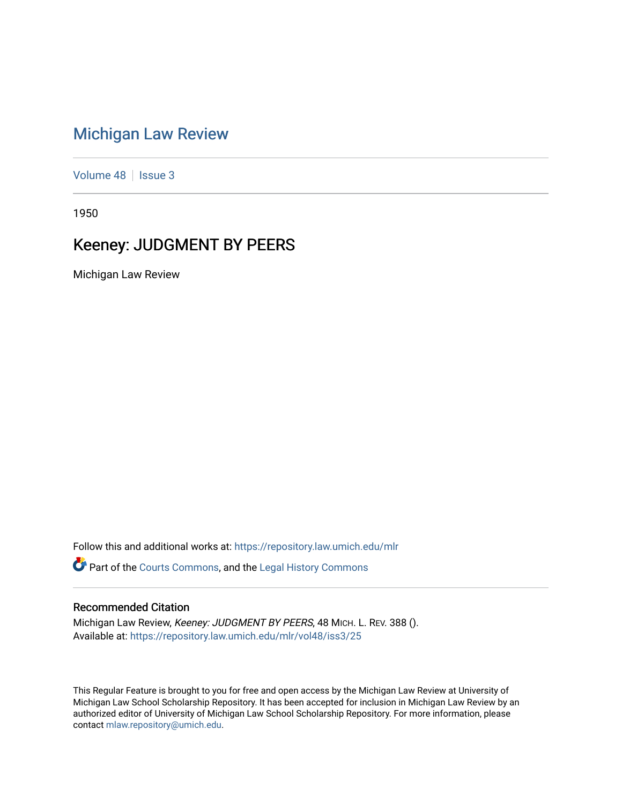## [Michigan Law Review](https://repository.law.umich.edu/mlr)

[Volume 48](https://repository.law.umich.edu/mlr/vol48) | [Issue 3](https://repository.law.umich.edu/mlr/vol48/iss3)

1950

## Keeney: JUDGMENT BY PEERS

Michigan Law Review

Follow this and additional works at: [https://repository.law.umich.edu/mlr](https://repository.law.umich.edu/mlr?utm_source=repository.law.umich.edu%2Fmlr%2Fvol48%2Fiss3%2F25&utm_medium=PDF&utm_campaign=PDFCoverPages) 

Part of the [Courts Commons,](http://network.bepress.com/hgg/discipline/839?utm_source=repository.law.umich.edu%2Fmlr%2Fvol48%2Fiss3%2F25&utm_medium=PDF&utm_campaign=PDFCoverPages) and the [Legal History Commons](http://network.bepress.com/hgg/discipline/904?utm_source=repository.law.umich.edu%2Fmlr%2Fvol48%2Fiss3%2F25&utm_medium=PDF&utm_campaign=PDFCoverPages) 

## Recommended Citation

Michigan Law Review, Keeney: JUDGMENT BY PEERS, 48 MICH. L. REV. 388 (). Available at: [https://repository.law.umich.edu/mlr/vol48/iss3/25](https://repository.law.umich.edu/mlr/vol48/iss3/25?utm_source=repository.law.umich.edu%2Fmlr%2Fvol48%2Fiss3%2F25&utm_medium=PDF&utm_campaign=PDFCoverPages) 

This Regular Feature is brought to you for free and open access by the Michigan Law Review at University of Michigan Law School Scholarship Repository. It has been accepted for inclusion in Michigan Law Review by an authorized editor of University of Michigan Law School Scholarship Repository. For more information, please contact [mlaw.repository@umich.edu](mailto:mlaw.repository@umich.edu).